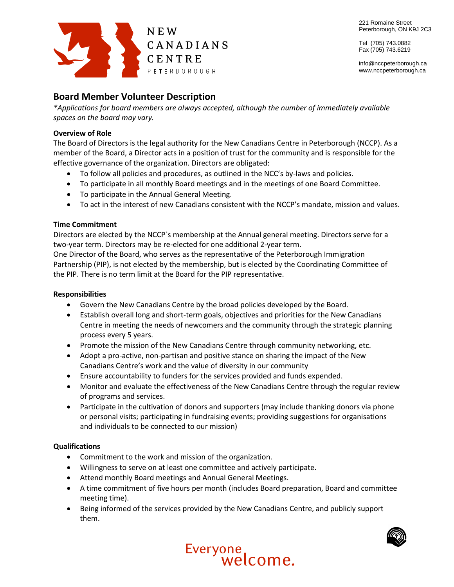

221 Romaine Street Peterborough, ON K9J 2C3

Tel (705) 743.0882 Fax (705) 743.6219

info@nccpeterborough.ca www.nccpeterborough.ca

# **Board Member Volunteer Description**

*\*Applications for board members are always accepted, although the number of immediately available spaces on the board may vary.*

## **Overview of Role**

The Board of Directors is the legal authority for the New Canadians Centre in Peterborough (NCCP). As a member of the Board, a Director acts in a position of trust for the community and is responsible for the effective governance of the organization. Directors are obligated:

- To follow all policies and procedures, as outlined in the NCC's by-laws and policies.
- To participate in all monthly Board meetings and in the meetings of one Board Committee.
- To participate in the Annual General Meeting.
- To act in the interest of new Canadians consistent with the NCCP's mandate, mission and values.

## **Time Commitment**

Directors are elected by the NCCP`s membership at the Annual general meeting. Directors serve for a two-year term. Directors may be re-elected for one additional 2-year term.

One Director of the Board, who serves as the representative of the Peterborough Immigration Partnership (PIP), is not elected by the membership, but is elected by the Coordinating Committee of the PIP. There is no term limit at the Board for the PIP representative.

### **Responsibilities**

- Govern the New Canadians Centre by the broad policies developed by the Board.
- Establish overall long and short-term goals, objectives and priorities for the New Canadians Centre in meeting the needs of newcomers and the community through the strategic planning process every 5 years.
- Promote the mission of the New Canadians Centre through community networking, etc.
- Adopt a pro-active, non-partisan and positive stance on sharing the impact of the New Canadians Centre's work and the value of diversity in our community
- Ensure accountability to funders for the services provided and funds expended.
- Monitor and evaluate the effectiveness of the New Canadians Centre through the regular review of programs and services.
- Participate in the cultivation of donors and supporters (may include thanking donors via phone or personal visits; participating in fundraising events; providing suggestions for organisations and individuals to be connected to our mission)

### **Qualifications**

- Commitment to the work and mission of the organization.
- Willingness to serve on at least one committee and actively participate.
- Attend monthly Board meetings and Annual General Meetings.
- A time commitment of five hours per month (includes Board preparation, Board and committee meeting time).
- Being informed of the services provided by the New Canadians Centre, and publicly support them.